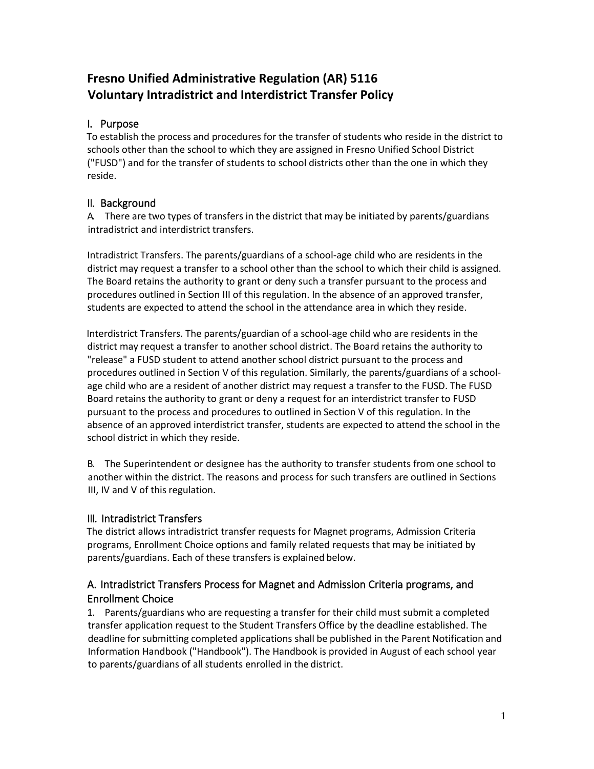# **Fresno Unified Administrative Regulation (AR) 5116 Voluntary Intradistrict and Interdistrict Transfer Policy**

# I. Purpose

To establish the process and procedures for the transfer of students who reside in the district to schools other than the school to which they are assigned in Fresno Unified School District ("FUSD") and for the transfer of students to school districts other than the one in which they reside.

# II. Background

A. There are two types of transfers in the district that may be initiated by parents/guardians intradistrict and interdistrict transfers.

Intradistrict Transfers. The parents/guardians of a school-age child who are residents in the district may request a transfer to a school other than the school to which their child is assigned. The Board retains the authority to grant or deny such a transfer pursuant to the process and procedures outlined in Section III of this regulation. In the absence of an approved transfer, students are expected to attend the school in the attendance area in which they reside.

Interdistrict Transfers. The parents/guardian of a school-age child who are residents in the district may request a transfer to another school district. The Board retains the authority to "release" a FUSD student to attend another school district pursuant to the process and procedures outlined in Section V of this regulation. Similarly, the parents/guardians of a schoolage child who are a resident of another district may request a transfer to the FUSD. The FUSD Board retains the authority to grant or deny a request for an interdistrict transfer to FUSD pursuant to the process and procedures to outlined in Section V of this regulation. In the absence of an approved interdistrict transfer, students are expected to attend the school in the school district in which they reside.

B. The Superintendent or designee has the authority to transfer students from one school to another within the district. The reasons and process for such transfers are outlined in Sections III, IV and V of this regulation.

# III. Intradistrict Transfers

The district allows intradistrict transfer requests for Magnet programs, Admission Criteria programs, Enrollment Choice options and family related requests that may be initiated by parents/guardians. Each of these transfers is explained below.

# A. Intradistrict Transfers Process for Magnet and Admission Criteria programs, and Enrollment Choice

1. Parents/guardians who are requesting a transfer for their child must submit a completed transfer application request to the Student Transfers Office by the deadline established. The deadline for submitting completed applications shall be published in the Parent Notification and Information Handbook ("Handbook"). The Handbook is provided in August of each school year to parents/guardians of all students enrolled in the district.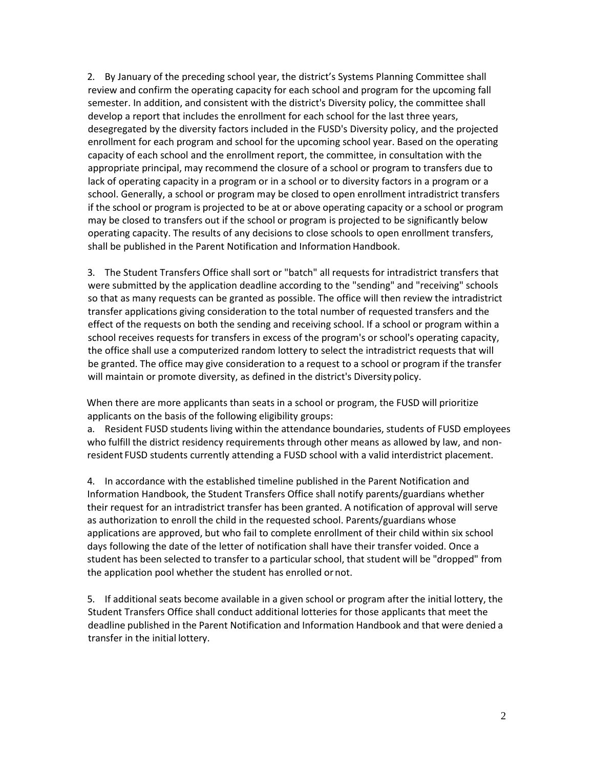2. By January of the preceding school year, the district's Systems Planning Committee shall review and confirm the operating capacity for each school and program for the upcoming fall semester. In addition, and consistent with the district's Diversity policy, the committee shall develop a report that includes the enrollment for each school for the last three years, desegregated by the diversity factors included in the FUSD's Diversity policy, and the projected enrollment for each program and school for the upcoming school year. Based on the operating capacity of each school and the enrollment report, the committee, in consultation with the appropriate principal, may recommend the closure of a school or program to transfers due to lack of operating capacity in a program or in a school or to diversity factors in a program or a school. Generally, a school or program may be closed to open enrollment intradistrict transfers if the school or program is projected to be at or above operating capacity or a school or program may be closed to transfers out if the school or program is projected to be significantly below operating capacity. The results of any decisions to close schools to open enrollment transfers, shall be published in the Parent Notification and Information Handbook.

3. The Student Transfers Office shall sort or "batch" all requests for intradistrict transfers that were submitted by the application deadline according to the "sending" and "receiving" schools so that as many requests can be granted as possible. The office will then review the intradistrict transfer applications giving consideration to the total number of requested transfers and the effect of the requests on both the sending and receiving school. If a school or program within a school receives requests for transfers in excess of the program's or school's operating capacity, the office shall use a computerized random lottery to select the intradistrict requests that will be granted. The office may give consideration to a request to a school or program if the transfer will maintain or promote diversity, as defined in the district's Diversitypolicy.

When there are more applicants than seats in a school or program, the FUSD will prioritize applicants on the basis of the following eligibility groups:

a. Resident FUSD students living within the attendance boundaries, students of FUSD employees who fulfill the district residency requirements through other means as allowed by law, and nonresident FUSD students currently attending a FUSD school with a valid interdistrict placement.

4. In accordance with the established timeline published in the Parent Notification and Information Handbook, the Student Transfers Office shall notify parents/guardians whether their request for an intradistrict transfer has been granted. A notification of approval will serve as authorization to enroll the child in the requested school. Parents/guardians whose applications are approved, but who fail to complete enrollment of their child within six school days following the date of the letter of notification shall have their transfer voided. Once a student has been selected to transfer to a particular school, that student will be "dropped" from the application pool whether the student has enrolled ornot.

5. If additional seats become available in a given school or program after the initial lottery, the Student Transfers Office shall conduct additional lotteries for those applicants that meet the deadline published in the Parent Notification and Information Handbook and that were denied a transfer in the initial lottery.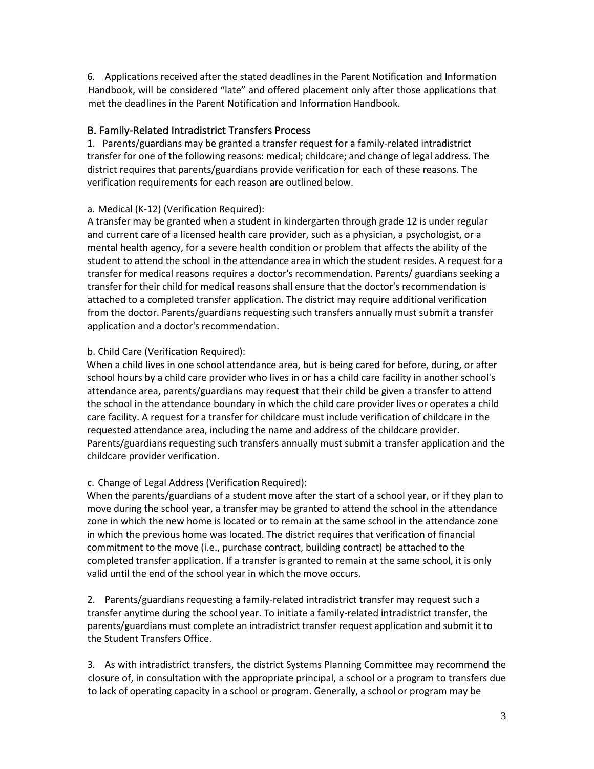6. Applications received after the stated deadlines in the Parent Notification and Information Handbook, will be considered "late" and offered placement only after those applications that met the deadlines in the Parent Notification and Information Handbook.

# B. Family-Related Intradistrict Transfers Process

1. Parents/guardians may be granted a transfer request for a family-related intradistrict transfer for one of the following reasons: medical; childcare; and change of legal address. The district requires that parents/guardians provide verification for each of these reasons. The verification requirements for each reason are outlined below.

# a. Medical (K-12) (Verification Required):

A transfer may be granted when a student in kindergarten through grade 12 is under regular and current care of a licensed health care provider, such as a physician, a psychologist, or a mental health agency, for a severe health condition or problem that affects the ability of the student to attend the school in the attendance area in which the student resides. A request for a transfer for medical reasons requires a doctor's recommendation. Parents/ guardians seeking a transfer for their child for medical reasons shall ensure that the doctor's recommendation is attached to a completed transfer application. The district may require additional verification from the doctor. Parents/guardians requesting such transfers annually must submit a transfer application and a doctor's recommendation.

# b. Child Care (Verification Required):

When a child lives in one school attendance area, but is being cared for before, during, or after school hours by a child care provider who lives in or has a child care facility in another school's attendance area, parents/guardians may request that their child be given a transfer to attend the school in the attendance boundary in which the child care provider lives or operates a child care facility. A request for a transfer for childcare must include verification of childcare in the requested attendance area, including the name and address of the childcare provider. Parents/guardians requesting such transfers annually must submit a transfer application and the childcare provider verification.

# c. Change of Legal Address (Verification Required):

When the parents/guardians of a student move after the start of a school year, or if they plan to move during the school year, a transfer may be granted to attend the school in the attendance zone in which the new home is located or to remain at the same school in the attendance zone in which the previous home was located. The district requires that verification of financial commitment to the move (i.e., purchase contract, building contract) be attached to the completed transfer application. If a transfer is granted to remain at the same school, it is only valid until the end of the school year in which the move occurs.

2. Parents/guardians requesting a family-related intradistrict transfer may request such a transfer anytime during the school year. To initiate a family-related intradistrict transfer, the parents/guardians must complete an intradistrict transfer request application and submit it to the Student Transfers Office.

3. As with intradistrict transfers, the district Systems Planning Committee may recommend the closure of, in consultation with the appropriate principal, a school or a program to transfers due to lack of operating capacity in a school or program. Generally, a school or program may be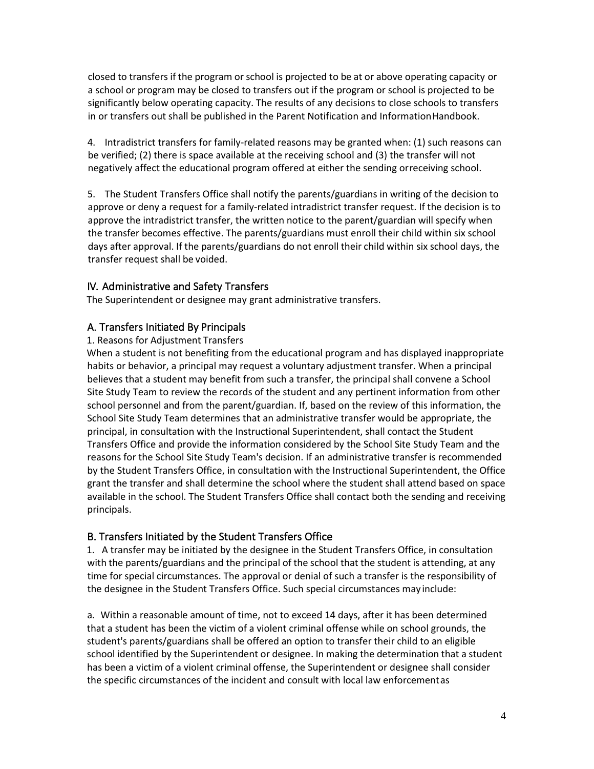closed to transfers if the program orschool is projected to be at or above operating capacity or a school or program may be closed to transfers out if the program or school is projected to be significantly below operating capacity. The results of any decisions to close schools to transfers in or transfers out shall be published in the Parent Notification and InformationHandbook.

4. Intradistrict transfers for family-related reasons may be granted when: (1) such reasons can be verified; (2) there is space available at the receiving school and (3) the transfer will not negatively affect the educational program offered at either the sending orreceiving school.

5. The Student Transfers Office shall notify the parents/guardians in writing of the decision to approve or deny a request for a family-related intradistrict transfer request. If the decision is to approve the intradistrict transfer, the written notice to the parent/guardian will specify when the transfer becomes effective. The parents/guardians must enroll their child within six school days after approval. If the parents/guardians do not enroll their child within six school days, the transfer request shall be voided.

# IV. Administrative and Safety Transfers

The Superintendent or designee may grant administrative transfers.

# A. Transfers Initiated By Principals

### 1. Reasons for Adjustment Transfers

When a student is not benefiting from the educational program and has displayed inappropriate habits or behavior, a principal may request a voluntary adjustment transfer. When a principal believes that a student may benefit from such a transfer, the principal shall convene a School Site Study Team to review the records of the student and any pertinent information from other school personnel and from the parent/guardian. If, based on the review of this information, the School Site Study Team determines that an administrative transfer would be appropriate, the principal, in consultation with the Instructional Superintendent, shall contact the Student Transfers Office and provide the information considered by the School Site Study Team and the reasons for the School Site Study Team's decision. If an administrative transfer is recommended by the Student Transfers Office, in consultation with the Instructional Superintendent, the Office grant the transfer and shall determine the school where the student shall attend based on space available in the school. The Student Transfers Office shall contact both the sending and receiving principals.

# B. Transfers Initiated by the Student Transfers Office

1. A transfer may be initiated by the designee in the Student Transfers Office, in consultation with the parents/guardians and the principal of the school that the student is attending, at any time for special circumstances. The approval or denial of such a transfer is the responsibility of the designee in the Student Transfers Office. Such special circumstances may include:

a. Within a reasonable amount of time, not to exceed 14 days, after it has been determined that a student has been the victim of a violent criminal offense while on school grounds, the student's parents/guardians shall be offered an option to transfer their child to an eligible school identified by the Superintendent or designee. In making the determination that a student has been a victim of a violent criminal offense, the Superintendent or designee shall consider the specific circumstances of the incident and consult with local law enforcementas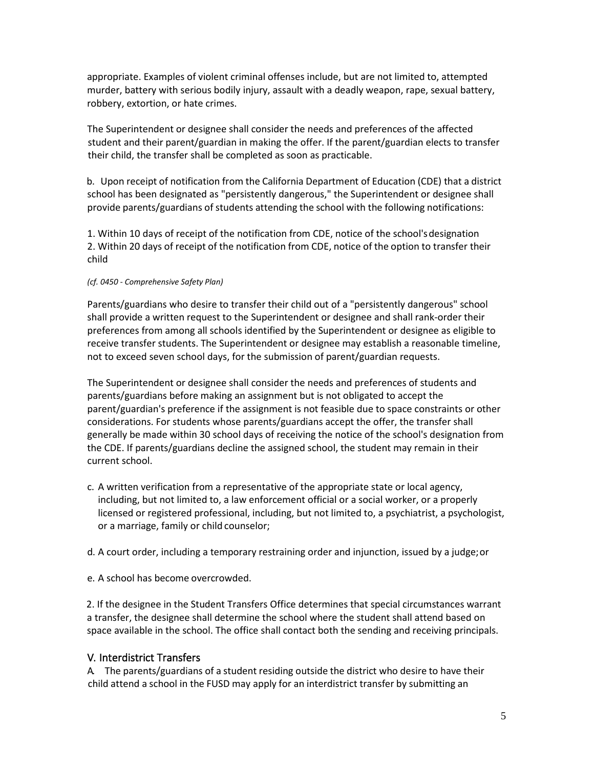appropriate. Examples of violent criminal offenses include, but are not limited to, attempted murder, battery with serious bodily injury, assault with a deadly weapon, rape, sexual battery, robbery, extortion, or hate crimes.

The Superintendent or designee shall consider the needs and preferences of the affected student and their parent/guardian in making the offer. If the parent/guardian elects to transfer their child, the transfer shall be completed as soon as practicable.

b. Upon receipt of notification from the California Department of Education (CDE) that a district school has been designated as "persistently dangerous," the Superintendent or designee shall provide parents/guardians of students attending the school with the following notifications:

1. Within 10 days of receipt of the notification from CDE, notice of the school'sdesignation 2. Within 20 days of receipt of the notification from CDE, notice of the option to transfer their child

#### *(cf. 0450 - Comprehensive Safety Plan)*

Parents/guardians who desire to transfer their child out of a "persistently dangerous" school shall provide a written request to the Superintendent or designee and shall rank-order their preferences from among all schools identified by the Superintendent or designee as eligible to receive transfer students. The Superintendent or designee may establish a reasonable timeline, not to exceed seven school days, for the submission of parent/guardian requests.

The Superintendent or designee shall consider the needs and preferences of students and parents/guardians before making an assignment but is not obligated to accept the parent/guardian's preference if the assignment is not feasible due to space constraints or other considerations. For students whose parents/guardians accept the offer, the transfer shall generally be made within 30 school days of receiving the notice of the school's designation from the CDE. If parents/guardians decline the assigned school, the student may remain in their current school.

- c. A written verification from a representative of the appropriate state or local agency, including, but not limited to, a law enforcement official or a social worker, or a properly licensed or registered professional, including, but not limited to, a psychiatrist, a psychologist, or a marriage, family or child counselor;
- d. A court order, including a temporary restraining order and injunction, issued by a judge;or
- e. A school has become overcrowded.

2. If the designee in the Student Transfers Office determines that special circumstances warrant a transfer, the designee shall determine the school where the student shall attend based on space available in the school. The office shall contact both the sending and receiving principals.

# V. Interdistrict Transfers

A. The parents/guardians of a student residing outside the district who desire to have their child attend a school in the FUSD may apply for an interdistrict transfer by submitting an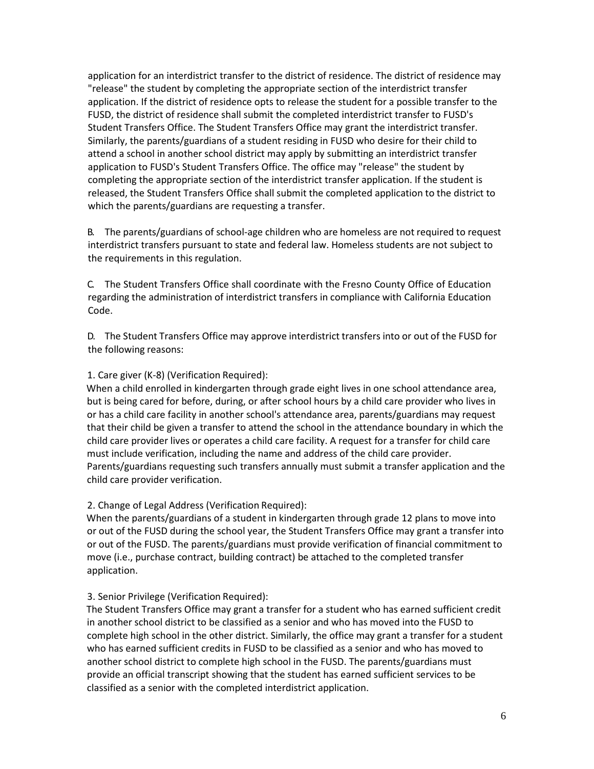application for an interdistrict transfer to the district of residence. The district of residence may "release" the student by completing the appropriate section of the interdistrict transfer application. If the district of residence opts to release the student for a possible transfer to the FUSD, the district of residence shall submit the completed interdistrict transfer to FUSD's Student Transfers Office. The Student Transfers Office may grant the interdistrict transfer. Similarly, the parents/guardians of a student residing in FUSD who desire for their child to attend a school in another school district may apply by submitting an interdistrict transfer application to FUSD's Student Transfers Office. The office may "release" the student by completing the appropriate section of the interdistrict transfer application. If the student is released, the Student Transfers Office shall submit the completed application to the district to which the parents/guardians are requesting a transfer.

B. The parents/guardians of school-age children who are homeless are not required to request interdistrict transfers pursuant to state and federal law. Homeless students are not subject to the requirements in this regulation.

C. The Student Transfers Office shall coordinate with the Fresno County Office of Education regarding the administration of interdistrict transfers in compliance with California Education Code.

D. The Student Transfers Office may approve interdistrict transfers into or out of the FUSD for the following reasons:

#### 1. Care giver (K-8) (Verification Required):

When a child enrolled in kindergarten through grade eight lives in one school attendance area, but is being cared for before, during, or after school hours by a child care provider who lives in or has a child care facility in another school's attendance area, parents/guardians may request that their child be given a transfer to attend the school in the attendance boundary in which the child care provider lives or operates a child care facility. A request for a transfer for child care must include verification, including the name and address of the child care provider. Parents/guardians requesting such transfers annually must submit a transfer application and the child care provider verification.

#### 2. Change of Legal Address (Verification Required):

When the parents/guardians of a student in kindergarten through grade 12 plans to move into or out of the FUSD during the school year, the Student Transfers Office may grant a transfer into or out of the FUSD. The parents/guardians must provide verification of financial commitment to move (i.e., purchase contract, building contract) be attached to the completed transfer application.

#### 3. Senior Privilege (Verification Required):

The Student Transfers Office may grant a transfer for a student who has earned sufficient credit in another school district to be classified as a senior and who has moved into the FUSD to complete high school in the other district. Similarly, the office may grant a transfer for a student who has earned sufficient credits in FUSD to be classified as a senior and who has moved to another school district to complete high school in the FUSD. The parents/guardians must provide an official transcript showing that the student has earned sufficient services to be classified as a senior with the completed interdistrict application.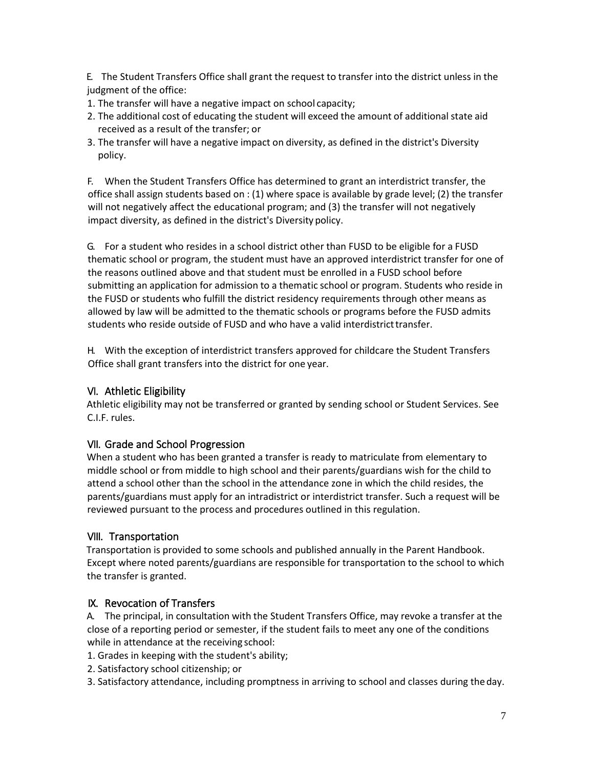E. The Student Transfers Office shall grant the request to transfer into the district unless in the judgment of the office:

- 1. The transfer will have a negative impact on school capacity;
- 2. The additional cost of educating the student will exceed the amount of additional state aid received as a result of the transfer; or
- 3. The transfer will have a negative impact on diversity, as defined in the district's Diversity policy.

F. When the Student Transfers Office has determined to grant an interdistrict transfer, the office shall assign students based on : (1) where space is available by grade level; (2) the transfer will not negatively affect the educational program; and (3) the transfer will not negatively impact diversity, as defined in the district's Diversity policy.

G. For a student who resides in a school district other than FUSD to be eligible for a FUSD thematic school or program, the student must have an approved interdistrict transfer for one of the reasons outlined above and that student must be enrolled in a FUSD school before submitting an application for admission to a thematic school or program. Students who reside in the FUSD or students who fulfill the district residency requirements through other means as allowed by law will be admitted to the thematic schools or programs before the FUSD admits students who reside outside of FUSD and who have a valid interdistricttransfer.

H. With the exception of interdistrict transfers approved for childcare the Student Transfers Office shall grant transfers into the district for one year.

# VI. Athletic Eligibility

Athletic eligibility may not be transferred or granted by sending school or Student Services. See C.I.F. rules.

# VII. Grade and School Progression

When a student who has been granted a transfer is ready to matriculate from elementary to middle school or from middle to high school and their parents/guardians wish for the child to attend a school other than the school in the attendance zone in which the child resides, the parents/guardians must apply for an intradistrict or interdistrict transfer. Such a request will be reviewed pursuant to the process and procedures outlined in this regulation.

# VIII. Transportation

Transportation is provided to some schools and published annually in the Parent Handbook. Except where noted parents/guardians are responsible for transportation to the school to which the transfer is granted.

# IX. Revocation of Transfers

A. The principal, in consultation with the Student Transfers Office, may revoke a transfer at the close of a reporting period or semester, if the student fails to meet any one of the conditions while in attendance at the receiving school:

- 1. Grades in keeping with the student's ability;
- 2. Satisfactory school citizenship; or
- 3. Satisfactory attendance, including promptness in arriving to school and classes during theday.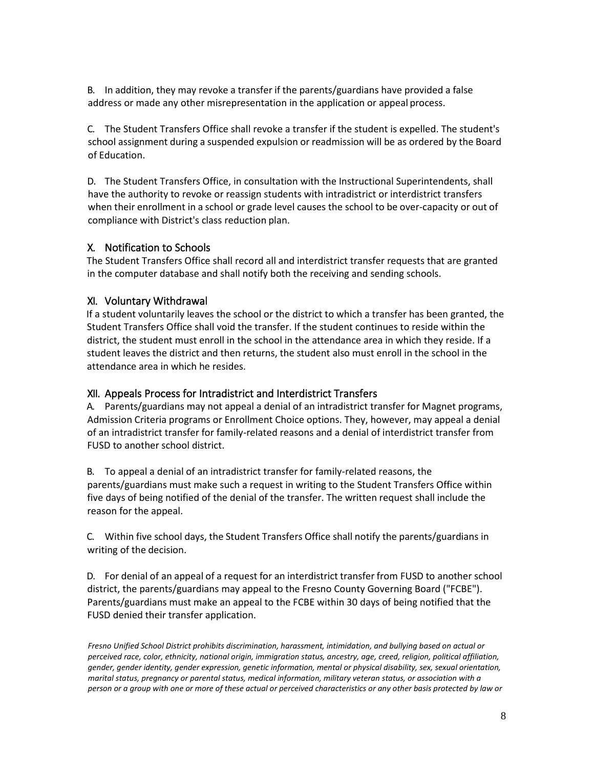B. In addition, they may revoke a transfer if the parents/guardians have provided a false address or made any other misrepresentation in the application or appeal process.

C. The Student Transfers Office shall revoke a transfer if the student is expelled. The student's school assignment during a suspended expulsion or readmission will be as ordered by the Board of Education.

D. The Student Transfers Office, in consultation with the Instructional Superintendents, shall have the authority to revoke or reassign students with intradistrict or interdistrict transfers when their enrollment in a school or grade level causes the school to be over-capacity or out of compliance with District's class reduction plan.

# X. Notification to Schools

The Student Transfers Office shall record all and interdistrict transfer requests that are granted in the computer database and shall notify both the receiving and sending schools.

### XI. Voluntary Withdrawal

If a student voluntarily leaves the school or the district to which a transfer has been granted, the Student Transfers Office shall void the transfer. If the student continues to reside within the district, the student must enroll in the school in the attendance area in which they reside. If a student leaves the district and then returns, the student also must enroll in the school in the attendance area in which he resides.

#### XII. Appeals Process for Intradistrict and Interdistrict Transfers

A. Parents/guardians may not appeal a denial of an intradistrict transfer for Magnet programs, Admission Criteria programs or Enrollment Choice options. They, however, may appeal a denial of an intradistrict transfer for family-related reasons and a denial of interdistrict transfer from FUSD to another school district.

B. To appeal a denial of an intradistrict transfer for family-related reasons, the parents/guardians must make such a request in writing to the Student Transfers Office within five days of being notified of the denial of the transfer. The written request shall include the reason for the appeal.

C. Within five school days, the Student Transfers Office shall notify the parents/guardians in writing of the decision.

D. For denial of an appeal of a request for an interdistrict transfer from FUSD to another school district, the parents/guardians may appeal to the Fresno County Governing Board ("FCBE"). Parents/guardians must make an appeal to the FCBE within 30 days of being notified that the FUSD denied their transfer application.

*Fresno Unified School District prohibits discrimination, harassment, intimidation, and bullying based on actual or perceived race, color, ethnicity, national origin, immigration status, ancestry, age, creed, religion, political affiliation, gender, gender identity, gender expression, genetic information, mental or physical disability, sex, sexual orientation, marital status, pregnancy or parental status, medical information, military veteran status, or association with a person or a group with one or more of these actual or perceived characteristics or any other basis protected by law or*